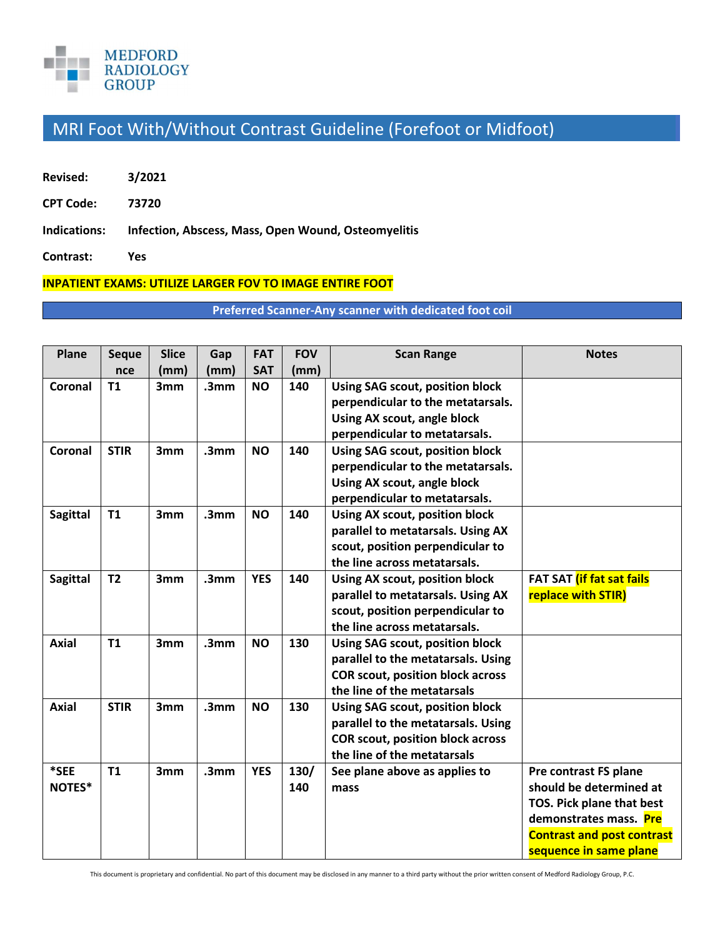

## MRI Foot With/Without Contrast Guideline (Forefoot or Midfoot)

- **Revised: 3/2021**
- **CPT Code: 73720**
- **Indications: Infection, Abscess, Mass, Open Wound, Osteomyelitis**
- **Contrast: Yes**

## **INPATIENT EXAMS: UTILIZE LARGER FOV TO IMAGE ENTIRE FOOT**

**Preferred Scanner-Any scanner with dedicated foot coil**

| Plane           | <b>Seque</b>   | <b>Slice</b>    | Gap              | <b>FAT</b> | <b>FOV</b> | <b>Scan Range</b>                       | <b>Notes</b>                      |
|-----------------|----------------|-----------------|------------------|------------|------------|-----------------------------------------|-----------------------------------|
|                 | nce            | (mm)            | (mm)             | <b>SAT</b> | (mm)       |                                         |                                   |
| Coronal         | T1             | 3mm             | .3 <sub>mm</sub> | <b>NO</b>  | 140        | Using SAG scout, position block         |                                   |
|                 |                |                 |                  |            |            | perpendicular to the metatarsals.       |                                   |
|                 |                |                 |                  |            |            | Using AX scout, angle block             |                                   |
|                 |                |                 |                  |            |            | perpendicular to metatarsals.           |                                   |
| Coronal         | <b>STIR</b>    | 3mm             | .3 <sub>mm</sub> | <b>NO</b>  | 140        | Using SAG scout, position block         |                                   |
|                 |                |                 |                  |            |            | perpendicular to the metatarsals.       |                                   |
|                 |                |                 |                  |            |            | Using AX scout, angle block             |                                   |
|                 |                |                 |                  |            |            | perpendicular to metatarsals.           |                                   |
| <b>Sagittal</b> | <b>T1</b>      | 3mm             | .3 <sub>mm</sub> | <b>NO</b>  | 140        | Using AX scout, position block          |                                   |
|                 |                |                 |                  |            |            | parallel to metatarsals. Using AX       |                                   |
|                 |                |                 |                  |            |            | scout, position perpendicular to        |                                   |
|                 |                |                 |                  |            |            | the line across metatarsals.            |                                   |
| <b>Sagittal</b> | T <sub>2</sub> | 3mm             | .3 <sub>mm</sub> | <b>YES</b> | 140        | Using AX scout, position block          | FAT SAT (if fat sat fails         |
|                 |                |                 |                  |            |            | parallel to metatarsals. Using AX       | replace with STIR)                |
|                 |                |                 |                  |            |            | scout, position perpendicular to        |                                   |
|                 |                |                 |                  |            |            | the line across metatarsals.            |                                   |
| Axial           | <b>T1</b>      | 3 <sub>mm</sub> | .3 <sub>mm</sub> | <b>NO</b>  | 130        | Using SAG scout, position block         |                                   |
|                 |                |                 |                  |            |            | parallel to the metatarsals. Using      |                                   |
|                 |                |                 |                  |            |            | <b>COR scout, position block across</b> |                                   |
|                 |                |                 |                  |            |            | the line of the metatarsals             |                                   |
| <b>Axial</b>    | <b>STIR</b>    | 3mm             | .3mm             | <b>NO</b>  | 130        | Using SAG scout, position block         |                                   |
|                 |                |                 |                  |            |            | parallel to the metatarsals. Using      |                                   |
|                 |                |                 |                  |            |            | <b>COR scout, position block across</b> |                                   |
|                 |                |                 |                  |            |            | the line of the metatarsals             |                                   |
| *SEE            | <b>T1</b>      | 3mm             | .3 <sub>mm</sub> | <b>YES</b> | 130/       | See plane above as applies to           | Pre contrast FS plane             |
| NOTES*          |                |                 |                  |            | 140        | mass                                    | should be determined at           |
|                 |                |                 |                  |            |            |                                         | TOS. Pick plane that best         |
|                 |                |                 |                  |            |            |                                         | demonstrates mass. Pre            |
|                 |                |                 |                  |            |            |                                         | <b>Contrast and post contrast</b> |
|                 |                |                 |                  |            |            |                                         | sequence in same plane            |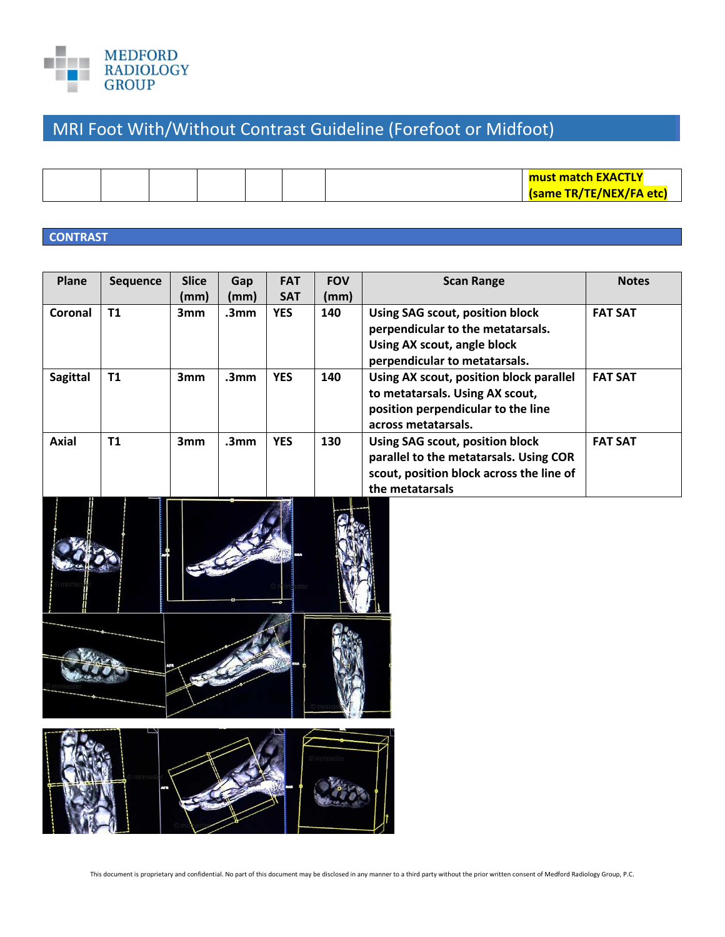

## MRI Foot With/Without Contrast Guideline (Forefoot or Midfoot)

|  |  |  | <b>must match EXACTLY</b> |
|--|--|--|---------------------------|
|  |  |  | (same TR/TE/NEX/FA etc)   |

## **CONTRAST**

| Plane           | Sequence  | <b>Slice</b>    | Gap              | <b>FAT</b> | <b>FOV</b> | <b>Scan Range</b>                                                                                                                        | <b>Notes</b>   |
|-----------------|-----------|-----------------|------------------|------------|------------|------------------------------------------------------------------------------------------------------------------------------------------|----------------|
|                 |           | (mm)            | (mm)             | <b>SAT</b> | (mm)       |                                                                                                                                          |                |
| Coronal         | T1        | 3mm             | .3mm             | <b>YES</b> | 140        | Using SAG scout, position block<br>perpendicular to the metatarsals.<br>Using AX scout, angle block<br>perpendicular to metatarsals.     | <b>FAT SAT</b> |
| <b>Sagittal</b> | <b>T1</b> | 3 <sub>mm</sub> | .3 <sub>mm</sub> | <b>YES</b> | 140        | Using AX scout, position block parallel<br>to metatarsals. Using AX scout,<br>position perpendicular to the line<br>across metatarsals.  | <b>FAT SAT</b> |
| <b>Axial</b>    | T1        | 3mm             | .3 <sub>mm</sub> | <b>YES</b> | 130        | Using SAG scout, position block<br>parallel to the metatarsals. Using COR<br>scout, position block across the line of<br>the metatarsals | <b>FAT SAT</b> |





This document is proprietary and confidential. No part of this document may be disclosed in any manner to a third party without the prior written consent of Medford Radiology Group, P.C.